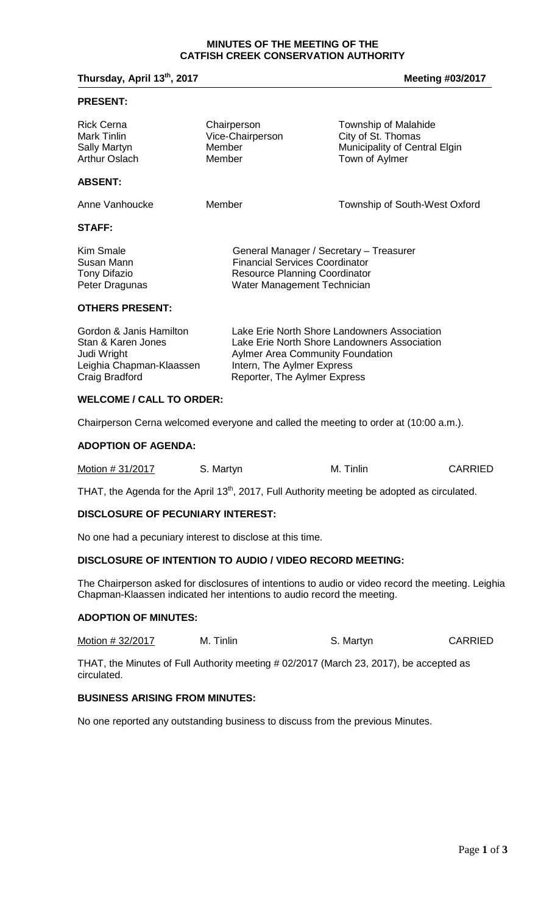#### **MINUTES OF THE MEETING OF THE CATFISH CREEK CONSERVATION AUTHORITY**

**Thursday, April 13<sup>th</sup>, 2017 Meeting #03/2017** 

#### **PRESENT:**

| <b>Rick Cerna</b><br>Mark Tinlin<br>Sally Martyn<br>Arthur Oslach | Chairperson<br>Vice-Chairperson<br>Member<br>Member                                                                                                     | Township of Malahide<br>City of St. Thomas<br>Municipality of Central Elgin<br>Town of Aylmer |
|-------------------------------------------------------------------|---------------------------------------------------------------------------------------------------------------------------------------------------------|-----------------------------------------------------------------------------------------------|
| <b>ABSENT:</b>                                                    |                                                                                                                                                         |                                                                                               |
| Anne Vanhoucke                                                    | Member                                                                                                                                                  | Township of South-West Oxford                                                                 |
| <b>STAFF:</b>                                                     |                                                                                                                                                         |                                                                                               |
| Kim Smale<br>Susan Mann<br>Tony Difazio<br>Peter Dragunas         | General Manager / Secretary - Treasurer<br><b>Financial Services Coordinator</b><br><b>Resource Planning Coordinator</b><br>Water Management Technician |                                                                                               |
| <b>OTHERS PRESENT:</b>                                            |                                                                                                                                                         |                                                                                               |

| Gordon & Janis Hamilton  | Lake Erie North Shore Landowners Association |
|--------------------------|----------------------------------------------|
| Stan & Karen Jones       | Lake Erie North Shore Landowners Association |
| Judi Wright              | <b>Aylmer Area Community Foundation</b>      |
| Leighia Chapman-Klaassen | Intern, The Aylmer Express                   |
| Craig Bradford           | Reporter, The Aylmer Express                 |
|                          |                                              |

# **WELCOME / CALL TO ORDER:**

Chairperson Cerna welcomed everyone and called the meeting to order at (10:00 a.m.).

#### **ADOPTION OF AGENDA:**

| Motion # 31/2017 | S. Martyn | M. Tinlin | <b>CARRIED</b> |
|------------------|-----------|-----------|----------------|
|                  |           |           |                |

THAT, the Agenda for the April 13<sup>th</sup>, 2017, Full Authority meeting be adopted as circulated.

## **DISCLOSURE OF PECUNIARY INTEREST:**

No one had a pecuniary interest to disclose at this time.

## **DISCLOSURE OF INTENTION TO AUDIO / VIDEO RECORD MEETING:**

The Chairperson asked for disclosures of intentions to audio or video record the meeting. Leighia Chapman-Klaassen indicated her intentions to audio record the meeting.

### **ADOPTION OF MINUTES:**

Motion # 32/2017 M. Tinlin S. Martyn S. Martyn

THAT, the Minutes of Full Authority meeting # 02/2017 (March 23, 2017), be accepted as circulated.

# **BUSINESS ARISING FROM MINUTES:**

No one reported any outstanding business to discuss from the previous Minutes.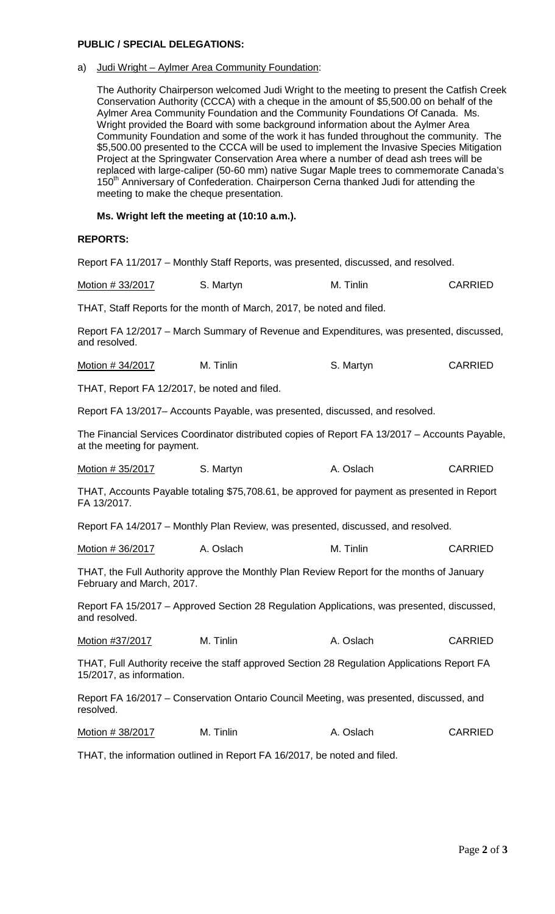## **PUBLIC / SPECIAL DELEGATIONS:**

# a) Judi Wright – Aylmer Area Community Foundation:

The Authority Chairperson welcomed Judi Wright to the meeting to present the Catfish Creek Conservation Authority (CCCA) with a cheque in the amount of \$5,500.00 on behalf of the Aylmer Area Community Foundation and the Community Foundations Of Canada. Ms. Wright provided the Board with some background information about the Aylmer Area Community Foundation and some of the work it has funded throughout the community. The \$5,500.00 presented to the CCCA will be used to implement the Invasive Species Mitigation Project at the Springwater Conservation Area where a number of dead ash trees will be replaced with large-caliper (50-60 mm) native Sugar Maple trees to commemorate Canada's  $150<sup>th</sup>$  Anniversary of Confederation. Chairperson Cerna thanked Judi for attending the meeting to make the cheque presentation.

# **Ms. Wright left the meeting at (10:10 a.m.).**

# **REPORTS:**

Report FA 11/2017 – Monthly Staff Reports, was presented, discussed, and resolved.

Motion # 33/2017 S. Martyn M. Tinlin CARRIED

THAT, Staff Reports for the month of March, 2017, be noted and filed.

Report FA 12/2017 – March Summary of Revenue and Expenditures, was presented, discussed, and resolved.

| Motion # 34/2017 | M. Tinlin | S. Martyn | <b>CARRIED</b> |
|------------------|-----------|-----------|----------------|
|------------------|-----------|-----------|----------------|

THAT, Report FA 12/2017, be noted and filed.

Report FA 13/2017– Accounts Payable, was presented, discussed, and resolved.

The Financial Services Coordinator distributed copies of Report FA 13/2017 – Accounts Payable, at the meeting for payment.

| Motion # 35/2017 | S. Martyn | A. Oslach | <b>CARRIED</b> |
|------------------|-----------|-----------|----------------|
|------------------|-----------|-----------|----------------|

THAT, Accounts Payable totaling \$75,708.61, be approved for payment as presented in Report FA 13/2017.

Report FA 14/2017 – Monthly Plan Review, was presented, discussed, and resolved.

Motion # 36/2017 A. Oslach M. Tinlin CARRIED

THAT, the Full Authority approve the Monthly Plan Review Report for the months of January February and March, 2017.

Report FA 15/2017 – Approved Section 28 Regulation Applications, was presented, discussed, and resolved.

| Motion #37/2017 | M. Tinlin | A. Oslach | <b>CARRIED</b> |
|-----------------|-----------|-----------|----------------|
|                 |           |           |                |

THAT, Full Authority receive the staff approved Section 28 Regulation Applications Report FA 15/2017, as information.

Report FA 16/2017 – Conservation Ontario Council Meeting, was presented, discussed, and resolved.

Motion # 38/2017 M. Tinlin A. Oslach CARRIED

THAT, the information outlined in Report FA 16/2017, be noted and filed.